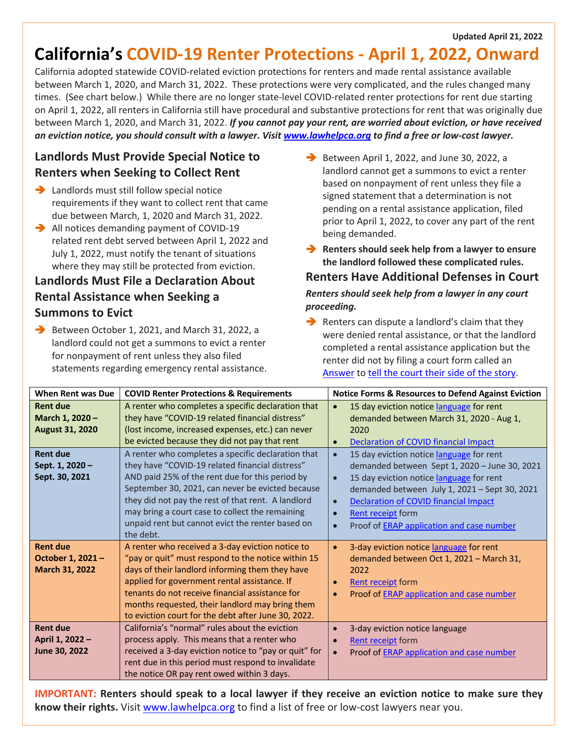#### **Updated April 21, 2022**

# **California's COVID-19 Renter Protections - April 1, 2022, Onward**

California adopted statewide COVID-related eviction protections for renters and made rental assistance available between March 1, 2020, and March 31, 2022. These protections were very complicated, and the rules changed many times. (See chart below.) While there are no longer state-level COVID-related renter protections for rent due starting on April 1, 2022, all renters in California still have procedural and substantive protections for rent that was originally due between March 1, 2020, and March 31, 2022. *If you cannot pay your rent, are worried about eviction, or have received an eviction notice, you should consult with a lawyer. Visit www.lawhelpca.org to find a free or low-cost lawyer.*

### **Landlords Must Provide Special Notice to Renters when Seeking to Collect Rent**

- $\rightarrow$  Landlords must still follow special notice requirements if they want to collect rent that came due between March, 1, 2020 and March 31, 2022.
- $\rightarrow$  All notices demanding payment of COVID-19 related rent debt served between April 1, 2022 and July 1, 2022, must notify the tenant of situations where they may still be protected from eviction.

# **Landlords Must File a Declaration About Rental Assistance when Seeking a Summons to Evict**

 $\rightarrow$  Between October 1, 2021, and March 31, 2022, a landlord could not get a summons to evict a renter for nonpayment of rent unless they also filed statements regarding emergency rental assistance.  $\rightarrow$  Between April 1, 2022, and June 30, 2022, a landlord cannot get a summons to evict a renter based on nonpayment of rent unless they file a signed statement that a determination is not pending on a rental assistance application, filed prior to April 1, 2022, to cover any part of the rent being demanded.

**EXECUTE:** Renters should seek help from a lawyer to ensure **the landlord followed these complicated rules.**

#### **Renters Have Additional Defenses in Court**

#### *Renters should seek help from a lawyer in any court proceeding.*

 $\rightarrow$  Renters can dispute a landlord's claim that they were denied rental assistance, or that the landlord completed a rental assistance application but the renter did not by filing a court form called an Answer to tell the court their side of the story.

| <b>When Rent was Due</b>                                     | <b>COVID Renter Protections &amp; Requirements</b>                                                                                                                                                                                                                                                                                                                                     | <b>Notice Forms &amp; Resources to Defend Against Eviction</b>                                                                                                                                                                                                                                                                                                            |
|--------------------------------------------------------------|----------------------------------------------------------------------------------------------------------------------------------------------------------------------------------------------------------------------------------------------------------------------------------------------------------------------------------------------------------------------------------------|---------------------------------------------------------------------------------------------------------------------------------------------------------------------------------------------------------------------------------------------------------------------------------------------------------------------------------------------------------------------------|
| <b>Rent due</b><br>March 1, 2020 -<br><b>August 31, 2020</b> | A renter who completes a specific declaration that<br>they have "COVID-19 related financial distress"<br>(lost income, increased expenses, etc.) can never<br>be evicted because they did not pay that rent                                                                                                                                                                            | 15 day eviction notice language for rent<br>$\bullet$<br>demanded between March 31, 2020 - Aug 1,<br>2020<br>Declaration of COVID financial Impact<br>$\bullet$                                                                                                                                                                                                           |
| <b>Rent due</b><br>Sept. 1, 2020 -<br>Sept. 30, 2021         | A renter who completes a specific declaration that<br>they have "COVID-19 related financial distress"<br>AND paid 25% of the rent due for this period by<br>September 30, 2021, can never be evicted because<br>they did not pay the rest of that rent. A landlord<br>may bring a court case to collect the remaining<br>unpaid rent but cannot evict the renter based on<br>the debt. | 15 day eviction notice language for rent<br>$\bullet$<br>demanded between Sept 1, 2020 - June 30, 2021<br>15 day eviction notice language for rent<br>$\bullet$<br>demanded between July 1, 2021 - Sept 30, 2021<br><b>Declaration of COVID financial Impact</b><br>$\bullet$<br>Rent receipt form<br>$\bullet$<br>Proof of ERAP application and case number<br>$\bullet$ |
| <b>Rent due</b><br>October 1, 2021 -<br>March 31, 2022       | A renter who received a 3-day eviction notice to<br>"pay or quit" must respond to the notice within 15<br>days of their landlord informing them they have<br>applied for government rental assistance. If<br>tenants do not receive financial assistance for<br>months requested, their landlord may bring them<br>to eviction court for the debt after June 30, 2022.                 | 3-day eviction notice language for rent<br>$\bullet$<br>demanded between Oct 1, 2021 - March 31,<br>2022<br><b>Rent receipt form</b><br>$\bullet$<br>Proof of ERAP application and case number<br>$\bullet$                                                                                                                                                               |
| <b>Rent due</b><br>April 1, 2022 -<br>June 30, 2022          | California's "normal" rules about the eviction<br>process apply. This means that a renter who<br>received a 3-day eviction notice to "pay or quit" for<br>rent due in this period must respond to invalidate<br>the notice OR pay rent owed within 3 days.                                                                                                                             | 3-day eviction notice language<br><b>Rent receipt</b> form<br>$\bullet$<br>Proof of <b>ERAP</b> application and case number<br>$\bullet$                                                                                                                                                                                                                                  |

**IMPORTANT: Renters should speak to a local lawyer if they receive an eviction notice to make sure they know their rights.** Visit www.lawhelpca.org to find a list of free or low-cost lawyers near you.